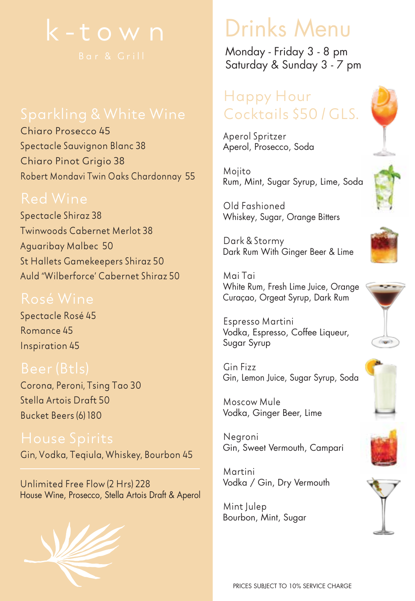

Chiaro Prosecco 45 Spectacle Sauvignon Blanc 38 Chiaro Pinot Grigio 38 Robert Mondavi Twin Oaks Chardonnay 55

Spectacle Shiraz 38 Twinwoods Cabernet Merlot 38 Aguaribay Malbec 50 St Hallets Gamekeepers Shiraz 50 Auld "Wilberforce' Cabernet Shiraz 50

Spectacle Rosé 45 Romance 45 Inspiration 45

Corona, Peroni, Tsing Tao 30 Stella Artois Draft 50 Bucket Beers (6) 180

Gin, Vodka, Teqiula, Whiskey, Bourbon 45

Unlimited Free Flow (2 Hrs) 228 House Wine, Prosecco, Stella Artois Draft & Aperol



Monday - Friday 3 - 8 pm Saturday & Sunday 3 - 7 pm

### Happy Hour Cocktails \$50 / GLS.

Aperol Spritzer Aperol, Prosecco, Soda

Mojito Rum, Mint, Sugar Syrup, Lime, Soda

Old Fashioned Whiskey, Sugar, Orange Bitters

Dark & Stormy Dark Rum With Ginger Beer & Lime

Mai Tai White Rum, Fresh Lime Juice, Orange Curaçao, Orgeat Syrup, Dark Rum

Espresso Martini Vodka, Espresso, Coffee Liqueur, Sugar Syrup

Gin Fizz Gin, Lemon Juice, Sugar Syrup, Soda

Moscow Mule Vodka, Ginger Beer, Lime

Negroni Gin, Sweet Vermouth, Campari

Martini Vodka / Gin, Dry Vermouth

Mint Julep Bourbon, Mint, Sugar